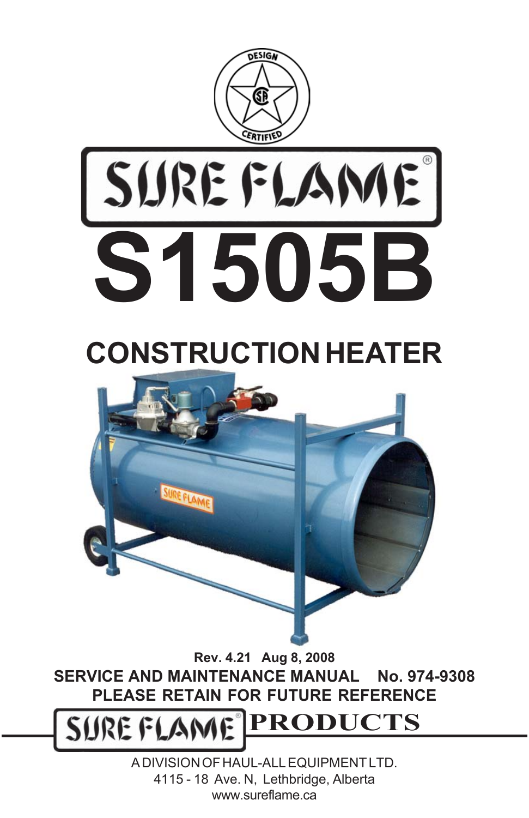



## **CONSTRUCTION HEATER**



**Rev. 4.21 Aug 8, 2008 SERVICE AND MAINTENANCE MANUAL No. 974-9308 PLEASE RETAIN FOR FUTURE REFERENCE**

**PRODUCTS** SURE FLAME

> A DIVISION OF HAUL-ALL EQUIPMENT LTD. 4115 - 18 Ave. N, Lethbridge, Alberta www.sureflame.ca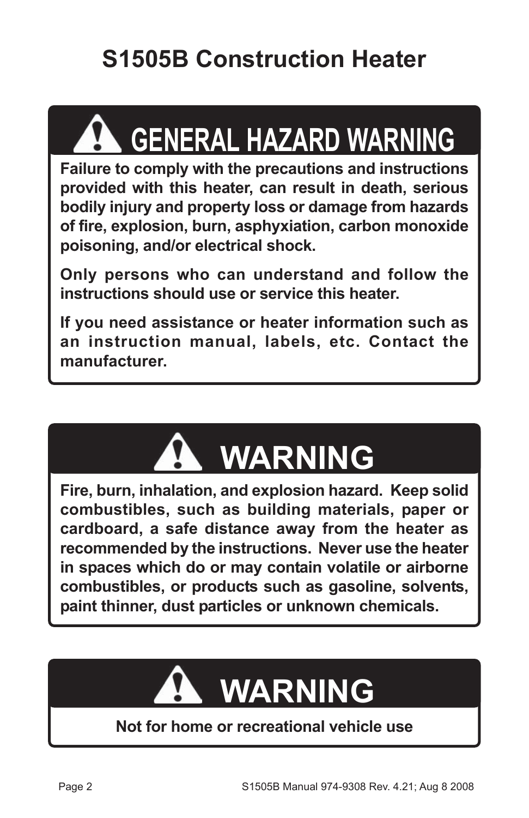## **S1505B Construction Heater**

# **GENERAL HAZARD WARNING**

**Failure to comply with the precautions and instructions provided with this heater, can result in death, serious bodily injury and property loss or damage from hazards of fire, explosion, burn, asphyxiation, carbon monoxide poisoning, and/or electrical shock.**

**Only persons who can understand and follow the instructions should use or service this heater.**

**If you need assistance or heater information such as an instruction manual, labels, etc. Contact the manufacturer.**



**Fire, burn, inhalation, and explosion hazard. Keep solid combustibles, such as building materials, paper or cardboard, a safe distance away from the heater as recommended by the instructions. Never use the heater in spaces which do or may contain volatile or airborne combustibles, or products such as gasoline, solvents, paint thinner, dust particles or unknown chemicals.**

# **WARNING**

#### **Not for home or recreational vehicle use**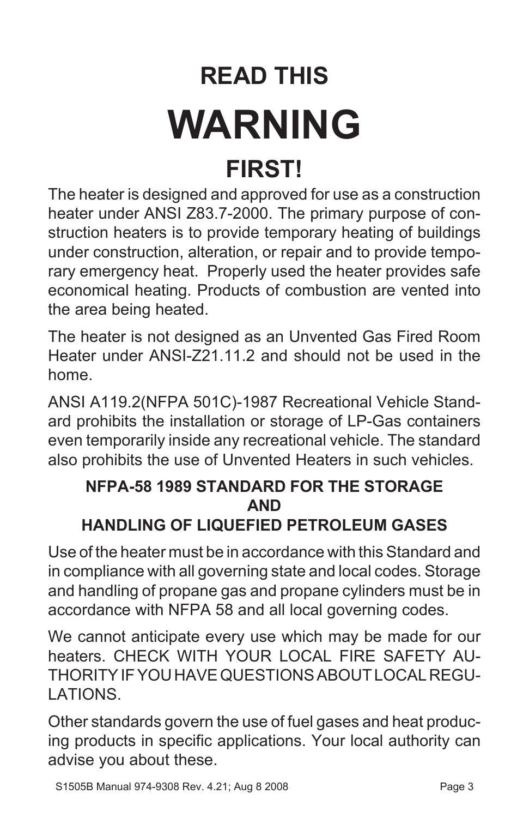# **READ THIS WARNING FIRST!**

The heater is designed and approved for use as a construction heater under ANSI Z83.7-2000. The primary purpose of construction heaters is to provide temporary heating of buildings under construction, alteration, or repair and to provide temporary emergency heat. Properly used the heater provides safe economical heating. Products of combustion are vented into the area being heated.

The heater is not designed as an Unvented Gas Fired Room Heater under ANSI-721.11.2 and should not be used in the home.

ANSI A119.2(NFPA 501C)-1987 Recreational Vehicle Standard prohibits the installation or storage of LP-Gas containers even temporarily inside any recreational vehicle. The standard also prohibits the use of Unvented Heaters in such vehicles.

#### **NFPA-58 1989 STANDARD FOR THE STORAGE AND**

#### **HANDLING OF LIQUEFIED PETROLEUM GASES**

Use of the heater must be in accordance with this Standard and in compliance with all governing state and local codes. Storage and handling of propane gas and propane cylinders must be in accordance with NFPA 58 and all local governing codes.

We cannot anticipate every use which may be made for our heaters. CHECK WITH YOUR LOCAL FIRE SAFETY AU-THORITY IF YOU HAVE QUESTIONS ABOUT LOCAL REGU-LATIONS.

Other standards govern the use of fuel gases and heat producing products in specific applications. Your local authority can advise you about these.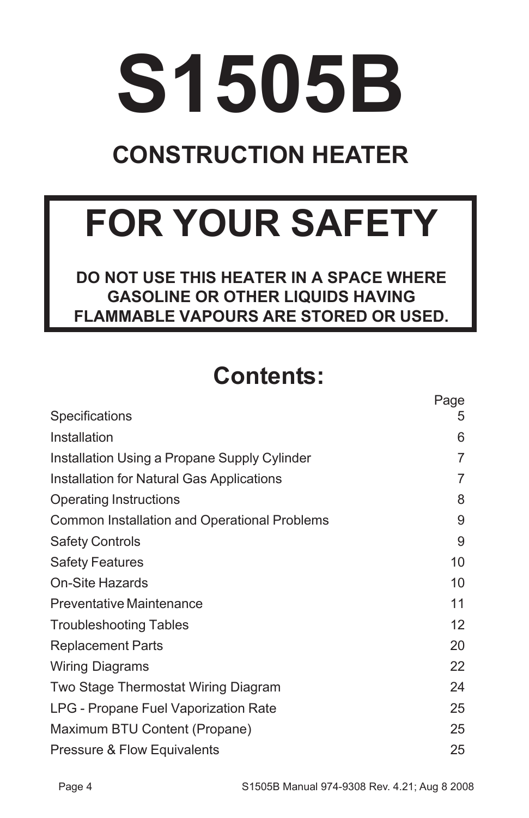# **S1505B**

## **CONSTRUCTION HEATER**

# **FOR YOUR SAFETY**

**DO NOT USE THIS HEATER IN A SPACE WHERE GASOLINE OR OTHER LIQUIDS HAVING FLAMMABLE VAPOURS ARE STORED OR USED.**

#### **Contents:**

| Specifications                               | Page<br>5 |
|----------------------------------------------|-----------|
| Installation                                 | 6         |
| Installation Using a Propane Supply Cylinder | 7         |
| Installation for Natural Gas Applications    | 7         |
| <b>Operating Instructions</b>                | 8         |
| Common Installation and Operational Problems | 9         |
| <b>Safety Controls</b>                       | 9         |
| <b>Safety Features</b>                       | 10        |
| On-Site Hazards                              | 10        |
| <b>Preventative Maintenance</b>              | 11        |
| <b>Troubleshooting Tables</b>                | 12        |
| <b>Replacement Parts</b>                     | 20        |
| <b>Wiring Diagrams</b>                       | 22        |
| Two Stage Thermostat Wiring Diagram          | 24        |
| LPG - Propane Fuel Vaporization Rate         | 25        |
| Maximum BTU Content (Propane)                | 25        |
| Pressure & Flow Equivalents                  | 25        |

Page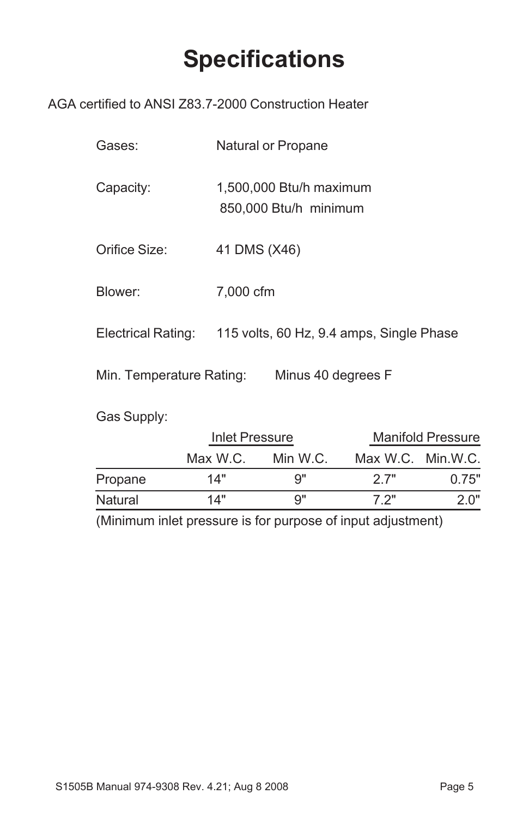#### **Specifications**

#### AGA certified to ANSI Z83.7-2000 Construction Heater

| Gases: | Natural or Propane |
|--------|--------------------|
|--------|--------------------|

Capacity: 1,500,000 Btu/h maximum 850,000 Btu/h minimum

- Orifice Size: 41 DMS (X46)
- Blower: 7,000 cfm

Electrical Rating: 115 volts, 60 Hz, 9.4 amps, Single Phase

Min. Temperature Rating: Minus 40 degrees F

Gas Supply:

|         | Inlet Pressure |          |                   | <b>Manifold Pressure</b> |
|---------|----------------|----------|-------------------|--------------------------|
|         | Max W.C.       | Min W.C. | Max W.C. Min.W.C. |                          |
| Propane | 14"            | Q"       | 2.7"              | 0.75"                    |
| Natural | 14"            | Q"       | 7.2"              | 2 በ"                     |

(Minimum inlet pressure is for purpose of input adjustment)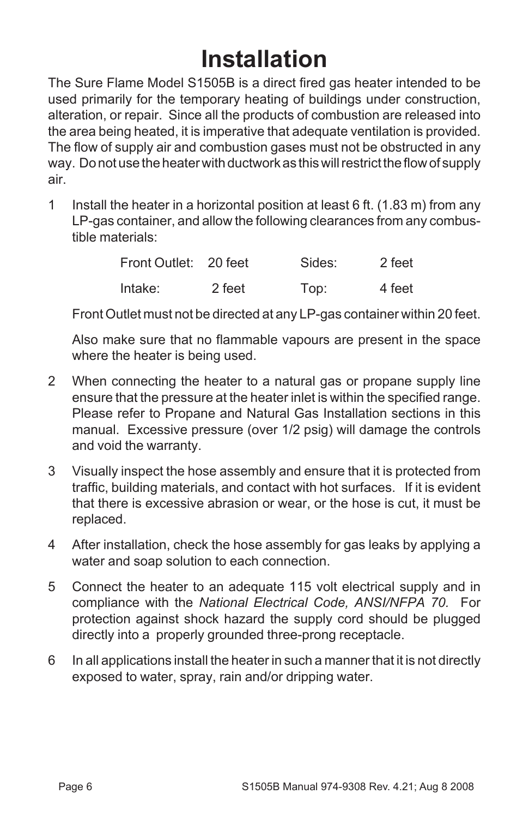### **Installation**

The Sure Flame Model S1505B is a direct fired gas heater intended to be used primarily for the temporary heating of buildings under construction, alteration, or repair. Since all the products of combustion are released into the area being heated, it is imperative that adequate ventilation is provided. The flow of supply air and combustion gases must not be obstructed in any way. Do not use the heater with ductwork as this will restrict the flow of supply air.

1 Install the heater in a horizontal position at least 6 ft. (1.83 m) from any LP-gas container, and allow the following clearances from any combustible materials:

| Front Outlet: 20 feet |        | Sides: | 2 feet |
|-----------------------|--------|--------|--------|
| Intake:               | 2 feet | Top:   | 4 feet |

Front Outlet must not be directed at any LP-gas container within 20 feet.

Also make sure that no flammable vapours are present in the space where the heater is being used.

- 2 When connecting the heater to a natural gas or propane supply line ensure that the pressure at the heater inlet is within the specified range. Please refer to Propane and Natural Gas Installation sections in this manual. Excessive pressure (over 1/2 psig) will damage the controls and void the warranty.
- 3 Visually inspect the hose assembly and ensure that it is protected from traffic, building materials, and contact with hot surfaces. If it is evident that there is excessive abrasion or wear, or the hose is cut, it must be replaced.
- 4 After installation, check the hose assembly for gas leaks by applying a water and soap solution to each connection.
- 5 Connect the heater to an adequate 115 volt electrical supply and in compliance with the *National Electrical Code, ANSI/NFPA 70.* For protection against shock hazard the supply cord should be plugged directly into a properly grounded three-prong receptacle.
- 6 In all applications install the heater in such a manner that it is not directly exposed to water, spray, rain and/or dripping water.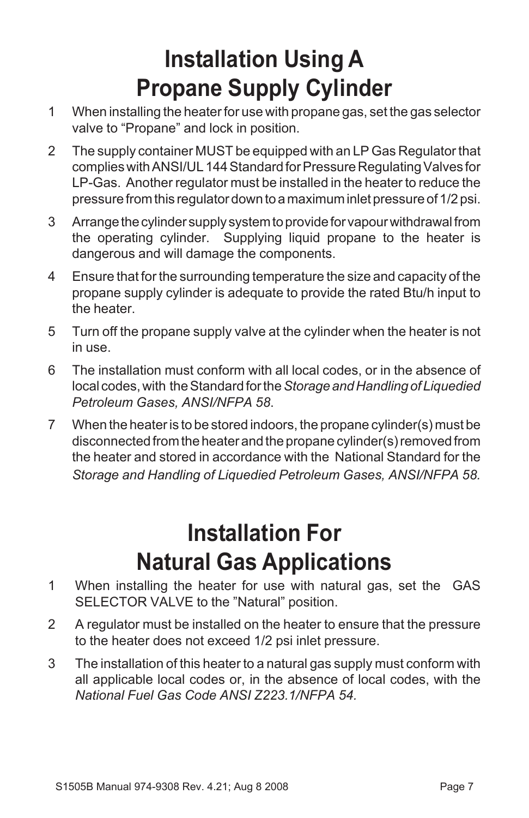### **Installation Using A Propane Supply Cylinder**

- 1 When installing the heater for use with propane gas, set the gas selector valve to "Propane" and lock in position.
- 2 The supply container MUST be equipped with an LP Gas Regulator that complies with ANSI/UL 144 Standard for Pressure Regulating Valves for LP-Gas. Another regulator must be installed in the heater to reduce the pressure from this regulator down to a maximum inlet pressure of 1/2 psi.
- 3 Arrange the cylinder supply system to provide for vapour withdrawal from the operating cylinder. Supplying liquid propane to the heater is dangerous and will damage the components.
- 4 Ensure that for the surrounding temperature the size and capacity of the propane supply cylinder is adequate to provide the rated Btu/h input to the heater.
- 5 Turn off the propane supply valve at the cylinder when the heater is not in use.
- 6 The installation must conform with all local codes, or in the absence of local codes, with the Standard for the *Storage and Handling of Liquedied Petroleum Gases, ANSI/NFPA 58*.
- 7 When the heater is to be stored indoors, the propane cylinder(s) must be disconnected from the heater and the propane cylinder(s) removed from the heater and stored in accordance with the National Standard for the *Storage and Handling of Liquedied Petroleum Gases, ANSI/NFPA 58.*

### **Installation For Natural Gas Applications**

- 1 When installing the heater for use with natural gas, set the GAS SELECTOR VALVE to the "Natural" position.
- 2 A regulator must be installed on the heater to ensure that the pressure to the heater does not exceed 1/2 psi inlet pressure.
- 3 The installation of this heater to a natural gas supply must conform with all applicable local codes or, in the absence of local codes, with the *National Fuel Gas Code ANSI Z223.1/NFPA 54.*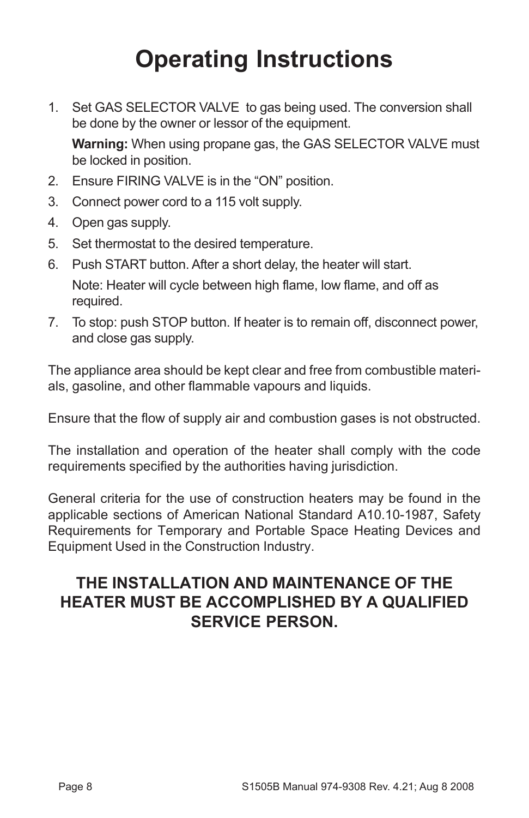## **Operating Instructions**

- 1. Set GAS SELECTOR VALVE to gas being used. The conversion shall be done by the owner or lessor of the equipment. **Warning:** When using propane gas, the GAS SELECTOR VALVE must be locked in position.
- 2. Ensure FIRING VALVE is in the "ON" position.
- 3. Connect power cord to a 115 volt supply.
- 4. Open gas supply.
- 5. Set thermostat to the desired temperature.
- 6. Push START button. After a short delay, the heater will start. Note: Heater will cycle between high flame, low flame, and off as required.
- 7. To stop: push STOP button. If heater is to remain off, disconnect power, and close gas supply.

The appliance area should be kept clear and free from combustible materials, gasoline, and other flammable vapours and liquids.

Ensure that the flow of supply air and combustion gases is not obstructed.

The installation and operation of the heater shall comply with the code requirements specified by the authorities having jurisdiction.

General criteria for the use of construction heaters may be found in the applicable sections of American National Standard A10.10-1987, Safety Requirements for Temporary and Portable Space Heating Devices and Equipment Used in the Construction Industry.

#### **THE INSTALLATION AND MAINTENANCE OF THE HEATER MUST BE ACCOMPLISHED BY A QUALIFIED SERVICE PERSON.**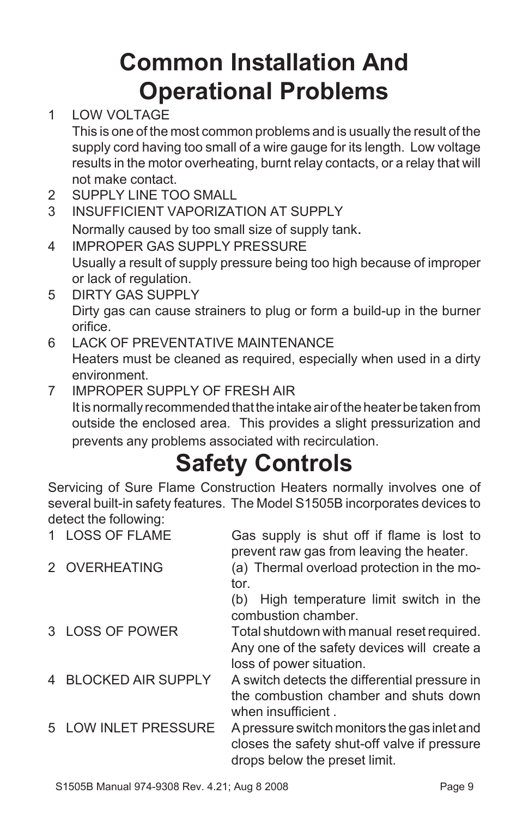## **Common Installation And Operational Problems**

1 LOW VOLTAGE

This is one of the most common problems and is usually the result of the supply cord having too small of a wire gauge for its length. Low voltage results in the motor overheating, burnt relay contacts, or a relay that will not make contact.

- 2 SUPPLY LINE TOO SMALL
- 3 INSUFFICIENT VAPORIZATION AT SUPPLY Normally caused by too small size of supply tank.
- 4 IMPROPER GAS SUPPLY PRESSURE Usually a result of supply pressure being too high because of improper or lack of regulation.
- 5 DIRTY GAS SUPPLY Dirty gas can cause strainers to plug or form a build-up in the burner orifice.
- 6 LACK OF PREVENTATIVE MAINTENANCE Heaters must be cleaned as required, especially when used in a dirty environment.
- 7 IMPROPER SUPPLY OF FRESH AIR It is normally recommended that the intake air of the heater be taken from outside the enclosed area. This provides a slight pressurization and prevents any problems associated with recirculation.

## **Safety Controls**

Servicing of Sure Flame Construction Heaters normally involves one of several built-in safety features. The Model S1505B incorporates devices to detect the following:

| 1 LOSS OF FLAME      | Gas supply is shut off if flame is lost to<br>prevent raw gas from leaving the heater.                                        |
|----------------------|-------------------------------------------------------------------------------------------------------------------------------|
| 2 OVERHEATING        | (a) Thermal overload protection in the mo-<br>tor.<br>High temperature limit switch in the<br>(b)                             |
|                      | combustion chamber.                                                                                                           |
| 3 LOSS OF POWER      | Total shutdown with manual reset required.<br>Any one of the safety devices will create a                                     |
|                      | loss of power situation.                                                                                                      |
| 4 BLOCKED AIR SUPPLY | A switch detects the differential pressure in<br>the combustion chamber and shuts down<br>when insufficient.                  |
| 5 LOW INLET PRESSURE | A pressure switch monitors the gas inlet and<br>closes the safety shut-off valve if pressure<br>drops below the preset limit. |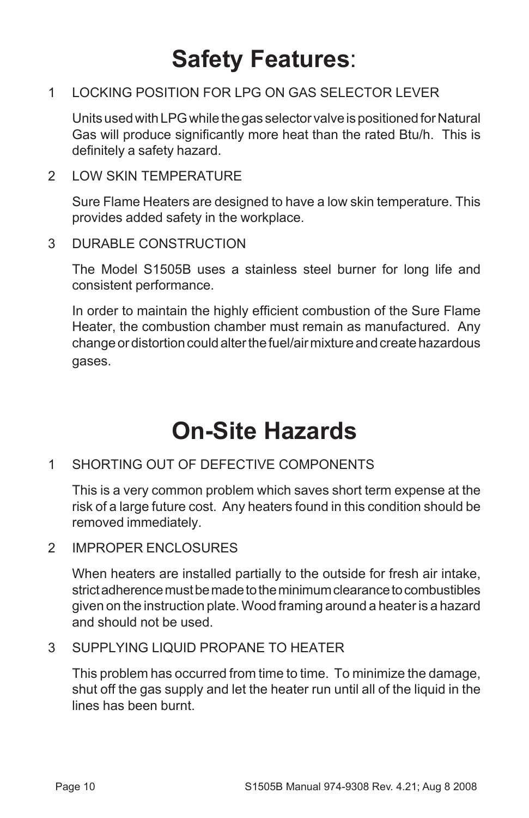#### **Safety Features**:

#### 1 LOCKING POSITION FOR LPG ON GAS SELECTOR LEVER

Units used with LPG while the gas selector valve is positioned for Natural Gas will produce significantly more heat than the rated Btu/h. This is definitely a safety hazard.

2 LOW SKIN TEMPERATURE

Sure Flame Heaters are designed to have a low skin temperature. This provides added safety in the workplace.

3 DURABLE CONSTRUCTION

The Model S1505B uses a stainless steel burner for long life and consistent performance.

In order to maintain the highly efficient combustion of the Sure Flame Heater, the combustion chamber must remain as manufactured. Any change or distortion could alter the fuel/air mixture and create hazardous gases.

#### **On-Site Hazards**

1 SHORTING OUT OF DEFECTIVE COMPONENTS

This is a very common problem which saves short term expense at the risk of a large future cost. Any heaters found in this condition should be removed immediately.

2 IMPROPER ENCLOSURES

When heaters are installed partially to the outside for fresh air intake, strict adherence must be made to the minimum clearance to combustibles given on the instruction plate. Wood framing around a heater is a hazard and should not be used.

3 SUPPLYING LIQUID PROPANE TO HEATER

This problem has occurred from time to time. To minimize the damage, shut off the gas supply and let the heater run until all of the liquid in the lines has been burnt.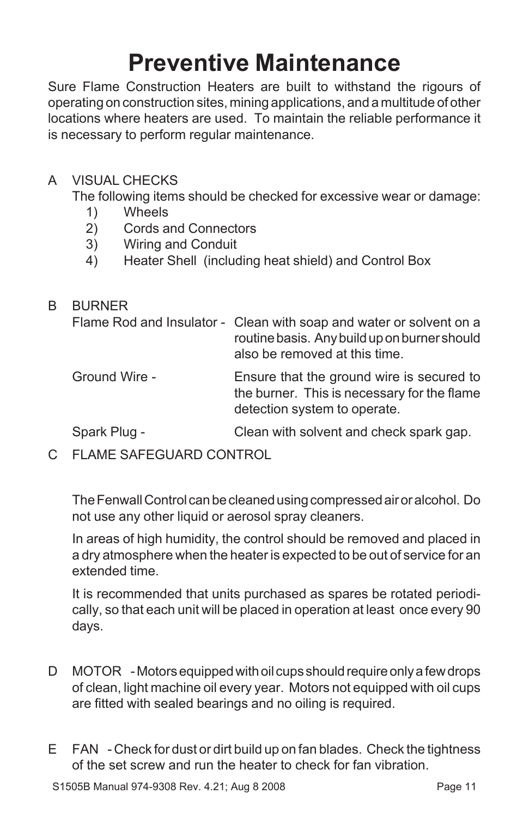#### **Preventive Maintenance**

Sure Flame Construction Heaters are built to withstand the rigours of operating on construction sites, mining applications, and a multitude of other locations where heaters are used. To maintain the reliable performance it is necessary to perform regular maintenance.

#### A VISUAL CHECKS

The following items should be checked for excessive wear or damage:

- 1) Wheels
- 2) Cords and Connectors
- 3) Wiring and Conduit
- 4) Heater Shell (including heat shield) and Control Box

#### B BURNER Flame Rod and Insulator - Clean with soap and water or solvent on a routine basis. Any build up on burner should also be removed at this time. Ground Wire - Ensure that the ground wire is secured to the burner. This is necessary for the flame detection system to operate. Spark Plug - Clean with solvent and check spark gap.

C FLAME SAFEGUARD CONTROL

The Fenwall Control can be cleaned using compressed air or alcohol. Do not use any other liquid or aerosol spray cleaners.

In areas of high humidity, the control should be removed and placed in a dry atmosphere when the heater is expected to be out of service for an extended time.

It is recommended that units purchased as spares be rotated periodically, so that each unit will be placed in operation at least once every 90 days.

- D MOTOR Motors equipped with oil cups should require only a few drops of clean, light machine oil every year. Motors not equipped with oil cups are fitted with sealed bearings and no oiling is required.
- E FAN Check for dust or dirt build up on fan blades. Check the tightness of the set screw and run the heater to check for fan vibration.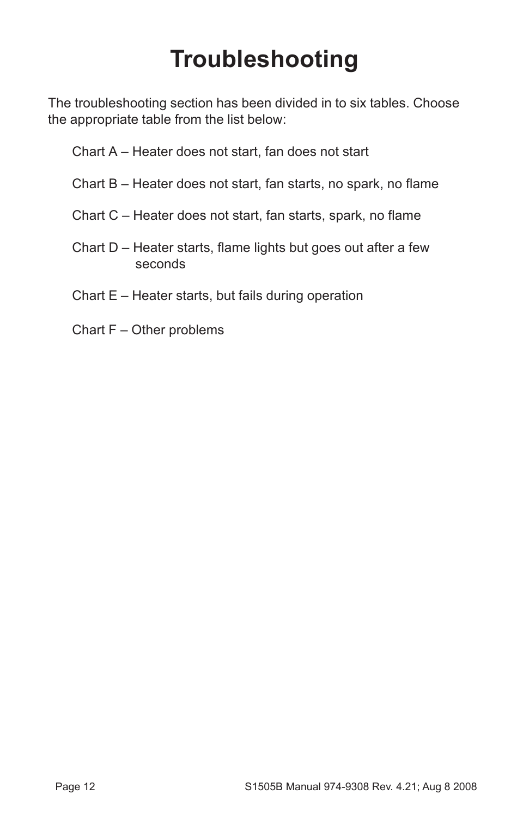#### **Troubleshooting**

The troubleshooting section has been divided in to six tables. Choose the appropriate table from the list below:

- Chart A Heater does not start, fan does not start
- Chart B Heater does not start, fan starts, no spark, no flame
- Chart C Heater does not start, fan starts, spark, no flame
- Chart D Heater starts, flame lights but goes out after a few seconds
- Chart E Heater starts, but fails during operation
- Chart F Other problems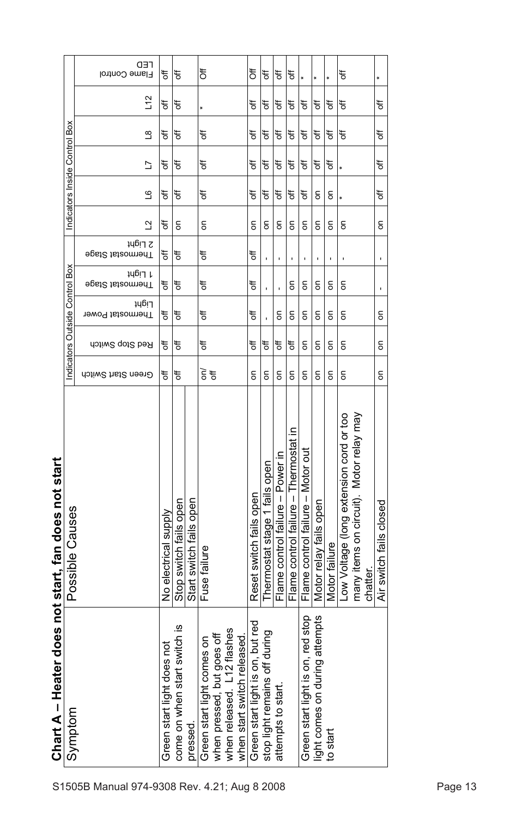|                                                       | <b>CED</b><br>Flame Control       | ₹                             | t                                 |                         | ð                                                                                                                     | ៉ិ                                 | t                                                                                                                                                          | t                                | đ                                     |                                      |                                                                                                                                                                                                                                                                                                                                                                                                                                                          |               | t                                                                                             |                         |
|-------------------------------------------------------|-----------------------------------|-------------------------------|-----------------------------------|-------------------------|-----------------------------------------------------------------------------------------------------------------------|------------------------------------|------------------------------------------------------------------------------------------------------------------------------------------------------------|----------------------------------|---------------------------------------|--------------------------------------|----------------------------------------------------------------------------------------------------------------------------------------------------------------------------------------------------------------------------------------------------------------------------------------------------------------------------------------------------------------------------------------------------------------------------------------------------------|---------------|-----------------------------------------------------------------------------------------------|-------------------------|
|                                                       | 12                                | ₹                             | đ                                 |                         |                                                                                                                       | ₹                                  | ð                                                                                                                                                          | ₹                                | đ                                     | ð                                    | ЪP                                                                                                                                                                                                                                                                                                                                                                                                                                                       | ð             | ŧ                                                                                             | ₹                       |
|                                                       | $\frac{8}{1}$                     | ₩                             | ₩                                 |                         | ₩                                                                                                                     | ₩                                  | ₩                                                                                                                                                          | ₩                                | F                                     | đ                                    | РP                                                                                                                                                                                                                                                                                                                                                                                                                                                       | đ             | ₩                                                                                             | ₹                       |
| Indicators Inside Control Box                         | ב                                 | ₹                             | ₩                                 |                         | ₩                                                                                                                     | ₩                                  | ₩                                                                                                                                                          | ₩                                | ₩                                     | ₩                                    | РP                                                                                                                                                                                                                                                                                                                                                                                                                                                       | đ             |                                                                                               | đ                       |
|                                                       | ڡ                                 | đ                             | ₩                                 |                         | ₩                                                                                                                     | ₩                                  | ₩                                                                                                                                                          | ₹                                | đ                                     | đ                                    | $\mathsf{S}% _{T}=\mathsf{S}_{T}\!\left( a,b\right) ,\mathsf{S}_{T}=\mathsf{S}_{T}\!\left( a,b\right) ,\mathsf{S}_{T}=\mathsf{S}_{T}\!\left( a,b\right) ,\mathsf{S}_{T}=\mathsf{S}_{T}\!\left( a,b\right) ,\mathsf{S}_{T}=\mathsf{S}_{T}\!\left( a,b\right) ,\mathsf{S}_{T}=\mathsf{S}_{T}\!\left( a,b\right) ,\mathsf{S}_{T}=\mathsf{S}_{T}\!\left( a,b\right) ,\mathsf{S}_{T}=\mathsf{S}_{T}\!\left( a,b\right) ,\mathsf{S}_{T}=\mathsf{S}_{T}\!\left$ | $\mathsf{S}$  |                                                                                               | ₹                       |
|                                                       | ₫                                 | ₩                             | δ                                 |                         | S                                                                                                                     | δ                                  | S                                                                                                                                                          | g                                | $\epsilon$                            | S                                    | S                                                                                                                                                                                                                                                                                                                                                                                                                                                        | g             | g                                                                                             | δ                       |
|                                                       | <b>JUBIT Z</b><br>∋psi2 tsteomenT | ₩                             | ₩                                 |                         | đ                                                                                                                     | ₹                                  |                                                                                                                                                            | ı                                | ٠                                     | ı                                    | ı                                                                                                                                                                                                                                                                                                                                                                                                                                                        | ı             |                                                                                               | t                       |
| Box                                                   | 1 Light<br>Fhermostat Stage       | ₩                             | ₩                                 |                         | ₩                                                                                                                     | ₩                                  |                                                                                                                                                            |                                  | g                                     | 5                                    | 5                                                                                                                                                                                                                                                                                                                                                                                                                                                        | 5             | 5                                                                                             | ı,                      |
|                                                       | Light<br>Thermostat Power         | ₹                             | ₩                                 |                         | ₹                                                                                                                     | ₹                                  |                                                                                                                                                            | δ                                | δ                                     | $\overline{5}$                       | δ                                                                                                                                                                                                                                                                                                                                                                                                                                                        | 5             | δ                                                                                             | $\overline{5}$          |
| Indicators Outside Control                            | Red Stop Switch                   | ₹                             | ₩                                 |                         | ₹                                                                                                                     | ₩                                  | đ                                                                                                                                                          | ₩                                | ₩                                     | δ                                    | δ                                                                                                                                                                                                                                                                                                                                                                                                                                                        | δ             | δ                                                                                             | δ                       |
|                                                       | Green Start Switch                | đ                             | ₹                                 |                         | $\widetilde{\vec{5}}$                                                                                                 | $\overline{5}$                     | $\mathsf{S}% _{T}=\mathsf{S}_{T}\!\left( a,b\right) ,\mathsf{S}_{T}=\mathsf{S}_{T}\!\left( a,b\right) ,\mathsf{S}_{T}=\mathsf{S}_{T}\!\left( a,b\right) ,$ | $\mathsf{S}% _{T}$               | $\mathsf{S}$                          | $\mathsf{S}$                         | $\mathsf{S}$                                                                                                                                                                                                                                                                                                                                                                                                                                             | $\mathsf{S}$  | δ                                                                                             | $\overline{5}$          |
| does not start, fan does not start<br>Possible Causes |                                   | No electrical supply          | Stop switch fails open            | Start switch fails open | Fuse failure                                                                                                          | Reset switch fails open            | fails open<br>Thermostat stage 1                                                                                                                           | Flame control failure - Power in | Flame control failure - Thermostat in | Flame control failure - Motor out    | Motor relay fails open                                                                                                                                                                                                                                                                                                                                                                                                                                   | Motor failure | many items on circuit). Motor relay may<br>Low Voltage (long extension cord or too<br>chatter | Air switch fails closed |
| <b>Chart A - Heater</b><br>Symptom                    |                                   | pot<br>Green start light does | witch is<br>come on when start sy | pressed.                | when released. L12 flashes<br>when pressed, but goes off<br>when start switch released.<br>Green start light comes on | but red<br>Green start light is on | during<br>stop light remains off                                                                                                                           | attempts to start.               |                                       | red stop<br>Green start light is on, | attempts<br>light comes on during                                                                                                                                                                                                                                                                                                                                                                                                                        | to start      |                                                                                               |                         |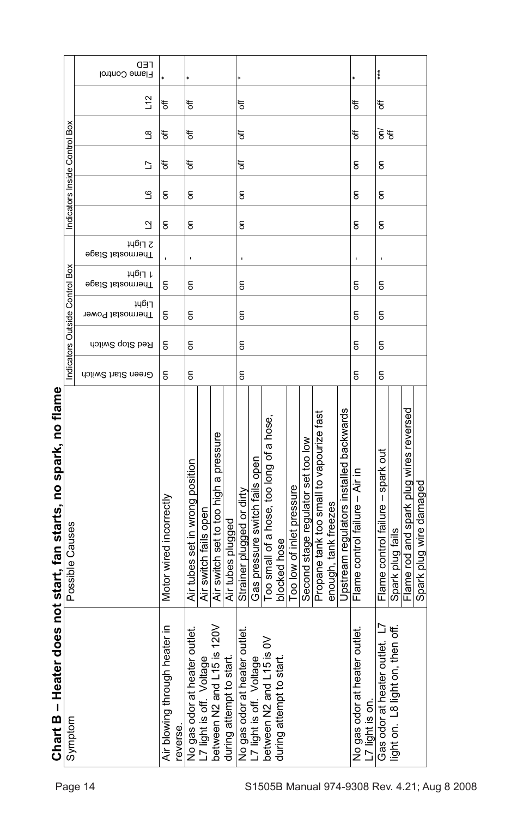|                                                                   | <b>CED</b><br>Flame Control |                                           |                                  |                          |                                       |                          |                                  |                                |                                          |                         |                           |                                    |                                          |                      |                                         |                                                  | ***                               |                                  |                                         |                         |
|-------------------------------------------------------------------|-----------------------------|-------------------------------------------|----------------------------------|--------------------------|---------------------------------------|--------------------------|----------------------------------|--------------------------------|------------------------------------------|-------------------------|---------------------------|------------------------------------|------------------------------------------|----------------------|-----------------------------------------|--------------------------------------------------|-----------------------------------|----------------------------------|-----------------------------------------|-------------------------|
|                                                                   | 12                          | ₹                                         | ₹                                |                          |                                       |                          | ₹                                |                                |                                          |                         |                           |                                    |                                          |                      |                                         | ₩                                                | đ                                 |                                  |                                         |                         |
|                                                                   | $\frac{8}{1}$               | ₩                                         | ₹                                |                          |                                       |                          | ₹                                |                                |                                          |                         |                           |                                    |                                          |                      | ₩                                       | $\widetilde{\varepsilon}$ $\sharp$               |                                   |                                  |                                         |                         |
| Indicators Inside Control Box                                     | Ľ                           | ₹                                         | ₹                                |                          |                                       |                          | ₩                                |                                |                                          |                         |                           |                                    |                                          |                      |                                         | g                                                | $\overline{5}$                    |                                  |                                         |                         |
|                                                                   | ٯ                           | δ                                         | S                                |                          |                                       |                          | g                                |                                |                                          |                         |                           |                                    |                                          |                      |                                         | $\epsilon$                                       | $\overline{5}$                    |                                  |                                         |                         |
|                                                                   | ₫                           | δ                                         | g                                |                          |                                       |                          | g                                |                                |                                          |                         |                           |                                    |                                          |                      |                                         | g                                                | $\overline{5}$                    |                                  |                                         |                         |
|                                                                   | 2 Light<br>∋psi2 tsteomnenT |                                           | 1                                |                          |                                       |                          |                                  |                                |                                          |                         |                           |                                    |                                          |                      |                                         |                                                  | t                                 |                                  |                                         |                         |
|                                                                   | 1 Light<br>Fhermostat Stage | g                                         | g                                |                          |                                       |                          | g                                |                                |                                          |                         |                           |                                    |                                          |                      |                                         | g                                                | δ                                 |                                  |                                         |                         |
|                                                                   | Light<br>Thermostat Power   | δ                                         | δ                                |                          |                                       |                          | δ                                |                                |                                          |                         |                           |                                    |                                          |                      |                                         | $\mathsf{S}$                                     | δ                                 |                                  |                                         |                         |
| ndicators Outside Control Box                                     | Red Stop Switch             | 5                                         | S                                |                          |                                       |                          | 5                                |                                |                                          |                         |                           |                                    |                                          |                      |                                         | δ                                                | $\overline{5}$                    |                                  |                                         |                         |
|                                                                   | Green Start Switch          | δ                                         | δ                                |                          |                                       |                          | $\overline{5}$                   |                                |                                          |                         |                           |                                    |                                          |                      |                                         | $\overline{5}$                                   | δ                                 |                                  |                                         |                         |
| does not start, fan starts, no spark, no flame<br>Possible Causes |                             | Motor wired incorrectly                   | Air tubes set in wrong position  | Air switch fails open    | Air switch set to too high a pressure | Air tubes plugged        | Strainer plugged or dirty        | Gas pressure switch fails open | Too small of a hose, too long of a hose, | blocked hose            | Too low of inlet pressure | Second stage regulator set too low | Propane tank too small to vapourize fast | enough, tank freezes | Upstream regulators installed backwards | Flame control failure - Air in                   | Flame control failure - spark out | Spark plug fails                 | Flame rod and spark plug wires reversed | Spark plug wire damaged |
| Chart B - Heater<br>Symptom                                       |                             | Air blowing through heater in<br>reverse. | outlet.<br>No gas odor at heater | L7 light is off. Voltage | is 120V<br>between N2 and L15         | during attempt to start. | outlet.<br>No gas odor at heater | L7 light is off. Voltage       | $\frac{8}{3}$<br>between N2 and L15      | during attempt to start |                           |                                    |                                          |                      |                                         | outlet<br>No gas odor at heater<br>7 light is on | Gas odor at heater outlet.        | light on. L8 light on, then off. |                                         |                         |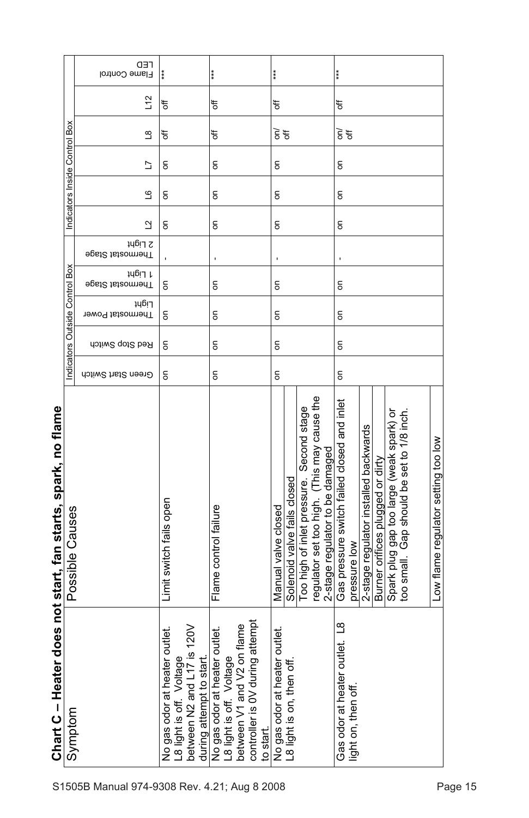|                               | <b>CED</b><br>Flame Control | $***$                                                                                                                 | ***                                                                                                                                              | $* *$ |                                    |                             |                                          |                                                                                | ***                                                  |                     |                                       |                                  |                                          |                                              |                                     |
|-------------------------------|-----------------------------|-----------------------------------------------------------------------------------------------------------------------|--------------------------------------------------------------------------------------------------------------------------------------------------|-------|------------------------------------|-----------------------------|------------------------------------------|--------------------------------------------------------------------------------|------------------------------------------------------|---------------------|---------------------------------------|----------------------------------|------------------------------------------|----------------------------------------------|-------------------------------------|
|                               | L12                         | đ                                                                                                                     | ₩                                                                                                                                                | ₩     |                                    |                             | ₩                                        |                                                                                |                                                      |                     |                                       |                                  |                                          |                                              |                                     |
|                               | $\overline{\mathbf{S}}$     | ₹                                                                                                                     | đ                                                                                                                                                |       | $\widetilde{\varepsilon}$ $\sharp$ |                             |                                          |                                                                                | $\widetilde{\varepsilon}$ $\sharp$                   |                     |                                       |                                  |                                          |                                              |                                     |
| Indicators Inside Control Box | 5                           | g                                                                                                                     | g                                                                                                                                                |       | $\overline{5}$                     |                             |                                          |                                                                                | $\overline{5}$                                       |                     |                                       |                                  |                                          |                                              |                                     |
|                               | ڡ                           | g                                                                                                                     | g                                                                                                                                                |       | δ                                  |                             |                                          |                                                                                | δ                                                    |                     |                                       |                                  |                                          |                                              |                                     |
|                               | ₫                           | $\overline{5}$                                                                                                        | $\overline{5}$                                                                                                                                   |       | $\overline{5}$                     |                             |                                          |                                                                                | $\overline{5}$                                       |                     |                                       |                                  |                                          |                                              |                                     |
|                               | 2 Light<br>∋psi2 tsteomnenT |                                                                                                                       | ı                                                                                                                                                |       |                                    |                             |                                          |                                                                                | J.                                                   |                     |                                       |                                  |                                          |                                              |                                     |
|                               | 1 Light<br>Fhermostat Stage | g                                                                                                                     | δ                                                                                                                                                |       | $\overline{5}$                     |                             |                                          |                                                                                | $\overline{5}$                                       |                     |                                       |                                  |                                          |                                              |                                     |
| ndicators Outside Control Box | Light<br>Thermostat Power   | δ                                                                                                                     | δ                                                                                                                                                |       | $\mathsf{S}$                       |                             |                                          |                                                                                | δ                                                    |                     |                                       |                                  |                                          |                                              |                                     |
|                               | Red Stop Switch             | ۵                                                                                                                     | δ                                                                                                                                                |       | $\overline{5}$                     |                             |                                          |                                                                                | $\overline{5}$                                       |                     |                                       |                                  |                                          |                                              |                                     |
|                               | Green Start Switch          | δ                                                                                                                     | δ                                                                                                                                                |       |                                    |                             |                                          |                                                                                | $\overline{5}$                                       |                     |                                       |                                  |                                          |                                              |                                     |
| Possible Causes               |                             | Limit switch fails open                                                                                               | Flame control failure                                                                                                                            |       | Manual valve closed                | Solenoid valve fails closed | Too high of inlet pressure. Second stage | regulator set too high. (This may cause the<br>2-stage regulator to be damaged | Gas pressure switch failed closed and inlet          | pressure low        | 2-stage regulator installed backwards | Burner orifices plugged or dirty | Spark plug gap too large (weak spark) or | Gap should be set to 1/8 inch.<br>too small. | Low flame regulator setting too low |
| Symptom                       |                             | between N2 and L17 is 120V<br>outlet.<br>L8 light is off. Voltage<br>during attempt to start<br>No gas odor at heater | attempt<br>flame<br>outlet.<br>No gas odor at heater<br>L8 light is off. Voltage<br>between V1 and V2 or<br>controller is 0V during<br>to start. |       | outlet.<br>No gas odor at heater   | L8 light is on, then off    |                                          |                                                                                | $\frac{8}{1}$<br>$\vec{e}$<br>Gas odor at heater out | light on, then off. |                                       |                                  |                                          |                                              |                                     |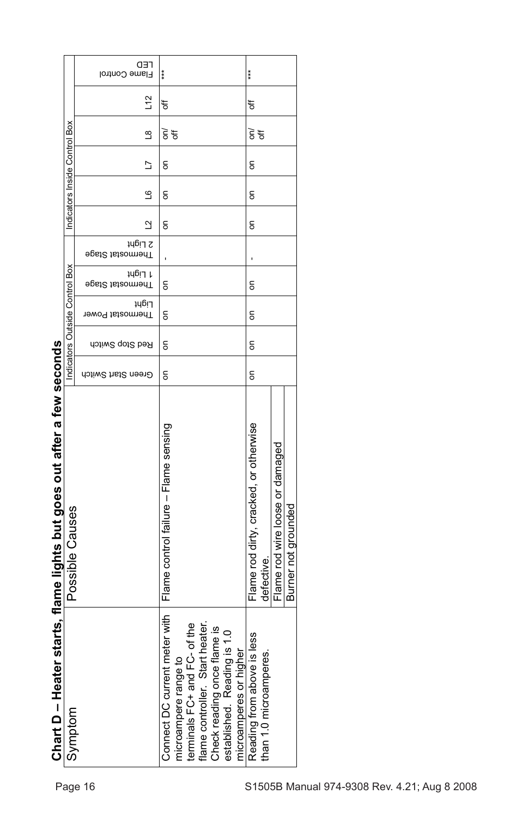|                                                                        |                                | <b>CED</b><br>Flame Control        | ***                                                                                                                                                                                                                        | ***                                                    |                                 |                     |                                              |
|------------------------------------------------------------------------|--------------------------------|------------------------------------|----------------------------------------------------------------------------------------------------------------------------------------------------------------------------------------------------------------------------|--------------------------------------------------------|---------------------------------|---------------------|----------------------------------------------|
|                                                                        |                                | $\frac{1}{2}$                      | ₩                                                                                                                                                                                                                          | đ                                                      |                                 |                     |                                              |
|                                                                        | Box                            | $\frac{8}{1}$                      | $\widetilde{\vec{5}}$ $\approx$                                                                                                                                                                                            | $\widetilde{\vec{5}}$ $\approx$                        |                                 |                     |                                              |
|                                                                        |                                | Ľ                                  | $\mathsf{S}% _{T}=\mathsf{S}_{T}\!\left( a,b\right) ,\mathsf{S}_{T}=\mathsf{S}_{T}\!\left( a,b\right) ,\mathsf{S}_{T}=\mathsf{S}_{T}\!\left( a,b\right) ,$                                                                 | S                                                      |                                 |                     |                                              |
|                                                                        | Indicators Inside Control      | ڡ                                  | $\overline{5}$                                                                                                                                                                                                             | $\mathsf{S}$                                           |                                 |                     |                                              |
|                                                                        |                                | ₫                                  | $\mathsf{S}$                                                                                                                                                                                                               | ã                                                      |                                 |                     |                                              |
|                                                                        |                                | 2 Light<br><b>Fhermostat Stage</b> |                                                                                                                                                                                                                            |                                                        |                                 |                     |                                              |
|                                                                        |                                | 14617 L<br><b>Fhermostal Stage</b> | $\epsilon$                                                                                                                                                                                                                 | S                                                      |                                 |                     |                                              |
|                                                                        | Indicators Outside Control Box | Light<br>Thermostat Power          | $\mathsf{S}$                                                                                                                                                                                                               | $\mathsf{S}$                                           |                                 |                     |                                              |
|                                                                        |                                | Red Stop Switch                    | $\overline{5}$                                                                                                                                                                                                             | $\mathsf{S}$                                           |                                 |                     |                                              |
|                                                                        |                                | Green Start Switch                 | 5                                                                                                                                                                                                                          | $\mathsf{S}$                                           |                                 |                     |                                              |
| Chart D – Heater starts, flame lights but goes out after a few seconds | Possible Causes                |                                    | Flame control failure - Flame sensing                                                                                                                                                                                      | Flame rod dirty, cracked, or otherwise<br>defective.   | Flame rod wire loose or damaged | Burner not grounded |                                              |
|                                                                        | Symptom                        |                                    | eter with<br>of the<br>heater.<br>Check reading once flame is<br>established. Reading is 1.0<br>microamperes or higher<br>terminals FC+ and FC-<br>flame controller. Start<br>Connect DC current m<br>microampere range to | less<br>than 1.0 microamperes<br>Reading from above is |                                 |                     |                                              |
|                                                                        |                                | Page 16                            |                                                                                                                                                                                                                            |                                                        |                                 |                     | S1505B Manual 974-9308 Rev. 4.21; Aug 8 2008 |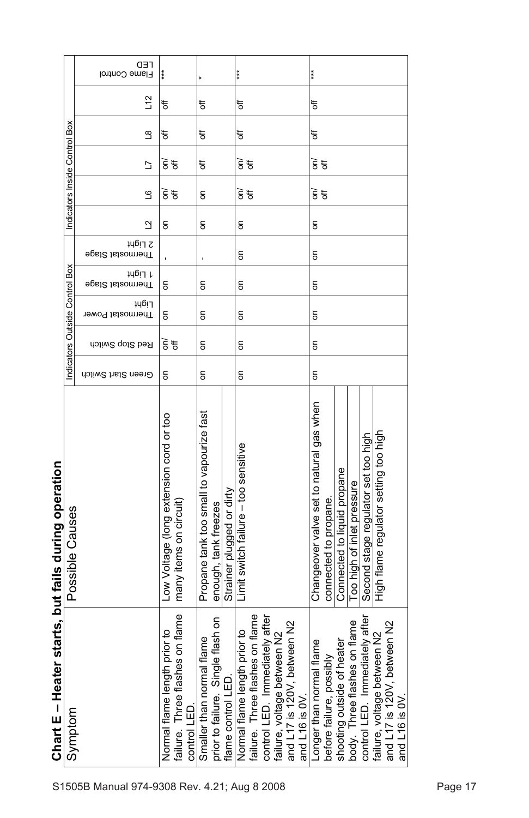|                                    |                               | <b>CED</b><br>Flame Control |                                                                                    |                                                                   |                           | ***                                                                                                                                                                                   | ***                                                               |                                                            |                            |                                     |                                                                                 |  |
|------------------------------------|-------------------------------|-----------------------------|------------------------------------------------------------------------------------|-------------------------------------------------------------------|---------------------------|---------------------------------------------------------------------------------------------------------------------------------------------------------------------------------------|-------------------------------------------------------------------|------------------------------------------------------------|----------------------------|-------------------------------------|---------------------------------------------------------------------------------|--|
|                                    |                               | 12                          | ₹                                                                                  | ₩                                                                 |                           | ₩                                                                                                                                                                                     | đ                                                                 |                                                            |                            |                                     |                                                                                 |  |
|                                    |                               | $\frac{8}{1}$               | ₹                                                                                  | ₩                                                                 |                           | ₩                                                                                                                                                                                     | đ                                                                 |                                                            |                            |                                     |                                                                                 |  |
|                                    |                               | ב                           | $\widetilde{\mathbf{5}}$ $\mathbf{\overline{5}}$                                   | ₩                                                                 |                           | $\widetilde{\varepsilon}$ ಕ                                                                                                                                                           | हें मू                                                            |                                                            |                            |                                     |                                                                                 |  |
|                                    | Indicators Inside Control Box | ്വ                          | हें मू                                                                             | δ                                                                 |                           | $\widetilde{\vec{5}}$ $\widetilde{\vec{5}}$                                                                                                                                           | $\widetilde{\epsilon}$ $\sharp$                                   |                                                            |                            |                                     |                                                                                 |  |
|                                    |                               | $\overline{a}$              | $\overline{5}$                                                                     | g                                                                 |                           | g                                                                                                                                                                                     | S                                                                 |                                                            |                            |                                     |                                                                                 |  |
|                                    |                               | 2 Light<br>∋psi2 tsteomenT  |                                                                                    | ı                                                                 |                           | g                                                                                                                                                                                     | S                                                                 |                                                            |                            |                                     |                                                                                 |  |
|                                    | Box                           | 1 Light<br>∋psi2 tsteomenT  | g                                                                                  | g                                                                 |                           | g                                                                                                                                                                                     | 6                                                                 |                                                            |                            |                                     |                                                                                 |  |
|                                    |                               | Light<br>Thermostat Power   | δ                                                                                  | δ                                                                 |                           | δ                                                                                                                                                                                     | δ                                                                 |                                                            |                            |                                     |                                                                                 |  |
|                                    | Indicators Outside Control    | Red Stop Switch             | 하                                                                                  | δ                                                                 |                           | δ                                                                                                                                                                                     | 5                                                                 |                                                            |                            |                                     |                                                                                 |  |
|                                    |                               | Green Start Switch          | δ                                                                                  | $\overline{5}$                                                    |                           | $\overline{5}$                                                                                                                                                                        |                                                                   |                                                            |                            |                                     |                                                                                 |  |
| starts, but fails during operation | Possible Causes               |                             | Low Voltage (long extension cord or too<br>many items on circuit)                  | Propane tank too small to vapourize fast<br>enough, tank freezes  | Strainer plugged or dirty | Limit switch failure - too sensitive                                                                                                                                                  | Changeover valve set to natural gas when<br>connected to propane. | Connected to liquid propane                                | Too high of inlet pressure | Second stage regulator set too high | High flame regulator setting too high                                           |  |
| Chart E - Heater                   | Symptom                       |                             | on flame<br>Normal flame length prior to<br>failure. Three flashes<br>control LED. | Single flash on<br>Smaller than normal flame<br>prior to failure. | flame control LED         | on flame<br>control LED. Immediately after<br>and L17 is 120V, between N2<br>Normal flame length prior to<br>failure, voltage between N2<br>failure. Three flashes<br>and $L16$ is OV | Longer than normal flame<br>before failure, possibly              | shooting outside of heater<br>body. Three flashes on flame |                            | control LED. Immediately after      | and L17 is 120V, between N2<br>failure, voltage between N2<br>and $L16$ is $0V$ |  |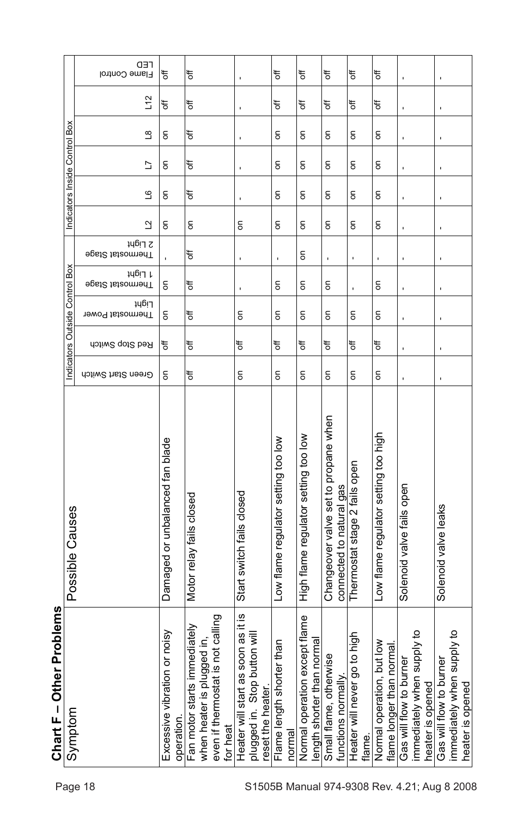|                 | <b>CED</b><br>Flame Control                                     | ₹                                          | ₹                                                                                                                      |                                                                                         | ₹                                                                                                                                                                                                                                                                                                                                                                                                                                                        | đ                                                          | t                                                                | ъ                                           | ₹                                      |                                                                                           | ı                                                                                         |
|-----------------|-----------------------------------------------------------------|--------------------------------------------|------------------------------------------------------------------------------------------------------------------------|-----------------------------------------------------------------------------------------|----------------------------------------------------------------------------------------------------------------------------------------------------------------------------------------------------------------------------------------------------------------------------------------------------------------------------------------------------------------------------------------------------------------------------------------------------------|------------------------------------------------------------|------------------------------------------------------------------|---------------------------------------------|----------------------------------------|-------------------------------------------------------------------------------------------|-------------------------------------------------------------------------------------------|
|                 | $\frac{1}{2}$                                                   | ₩                                          | ₹                                                                                                                      |                                                                                         | đ                                                                                                                                                                                                                                                                                                                                                                                                                                                        | ₹                                                          | đ                                                                | đ                                           | ₹                                      |                                                                                           |                                                                                           |
|                 | ്ട                                                              | $\mathsf{S}$                               | ₹                                                                                                                      |                                                                                         | $\overline{5}$                                                                                                                                                                                                                                                                                                                                                                                                                                           | $\overline{5}$                                             | $\overline{5}$                                                   | $\mathsf{S}$                                | g                                      |                                                                                           |                                                                                           |
|                 | ב                                                               | g                                          | ₹                                                                                                                      |                                                                                         | $\overline{5}$                                                                                                                                                                                                                                                                                                                                                                                                                                           | δ                                                          | δ                                                                | δ                                           | 6                                      |                                                                                           |                                                                                           |
|                 | ്വ                                                              | $\mathsf{S}$                               | ₹                                                                                                                      |                                                                                         | $\mathsf{S}% _{T}=\mathsf{S}_{T}\!\left( a,b\right) ,\mathsf{S}_{T}=\mathsf{S}_{T}\!\left( a,b\right) ,\mathsf{S}_{T}=\mathsf{S}_{T}\!\left( a,b\right) ,\mathsf{S}_{T}=\mathsf{S}_{T}\!\left( a,b\right) ,\mathsf{S}_{T}=\mathsf{S}_{T}\!\left( a,b\right) ,\mathsf{S}_{T}=\mathsf{S}_{T}\!\left( a,b\right) ,\mathsf{S}_{T}=\mathsf{S}_{T}\!\left( a,b\right) ,\mathsf{S}_{T}=\mathsf{S}_{T}\!\left( a,b\right) ,\mathsf{S}_{T}=\mathsf{S}_{T}\!\left$ | $\overline{5}$                                             | δ                                                                | $\mathsf{S}$                                | S                                      |                                                                                           |                                                                                           |
|                 | ₫                                                               | g                                          | δ                                                                                                                      | S                                                                                       | $\overline{5}$                                                                                                                                                                                                                                                                                                                                                                                                                                           | δ                                                          | δ                                                                | δ                                           | S                                      |                                                                                           |                                                                                           |
|                 | 2 Light<br>Fhermostat Stage                                     |                                            | ₩                                                                                                                      |                                                                                         | J.                                                                                                                                                                                                                                                                                                                                                                                                                                                       | $\overline{5}$                                             | ı                                                                |                                             | ı                                      |                                                                                           |                                                                                           |
|                 | 1 Light<br><b>Fhermostat Stage</b>                              | g                                          | ₹                                                                                                                      | ı                                                                                       | $\overline{5}$                                                                                                                                                                                                                                                                                                                                                                                                                                           | δ                                                          | δ                                                                | ı                                           | S                                      |                                                                                           | ٠                                                                                         |
|                 | Light<br>Thermostat Power                                       | $\overline{5}$                             | ₩                                                                                                                      | δ                                                                                       | $\overline{5}$                                                                                                                                                                                                                                                                                                                                                                                                                                           | δ                                                          | δ                                                                | $\mathsf{S}$                                | δ                                      |                                                                                           | ı                                                                                         |
|                 | Red Stop Switch                                                 | ₹                                          | ₹                                                                                                                      | đ                                                                                       | ₹                                                                                                                                                                                                                                                                                                                                                                                                                                                        | ₩                                                          | đ                                                                | đ                                           | ₩                                      |                                                                                           |                                                                                           |
|                 | Green Start Switch                                              | δ                                          | ₹                                                                                                                      | $\overline{5}$                                                                          | $\mathsf{S}$                                                                                                                                                                                                                                                                                                                                                                                                                                             | δ                                                          | δ                                                                | $\mathsf{S}$                                | δ                                      |                                                                                           |                                                                                           |
| Possible Causes |                                                                 | Damaged or unbalanced fan blade            | Motor relay fails closed                                                                                               | Start switch fails closed                                                               | Low flame regulator setting too low                                                                                                                                                                                                                                                                                                                                                                                                                      | High flame regulator setting too low                       | Changeover valve set to propane when<br>connected to natural gas | Thermostat stage 2 fails open               | Low flame regulator setting too high   | Solenoid valve fails open                                                                 | Solenoid valve leaks                                                                      |
| Symptom         |                                                                 | Excessive vibration or noisy<br>operation. | not calling<br>ediately<br>ed in,<br>Fan motor starts imm<br>when heater is plugg<br>even if thermostat is<br>for heat | Heater will start as soon as it is<br>plugged in. Stop button will<br>reset the heater. | than<br>Flame length shorter<br>normal                                                                                                                                                                                                                                                                                                                                                                                                                   | Normal operation except flame<br>ength shorter than normal | Small flame, otherwise<br>functions normally                     | to high<br>Heater will never go t<br>flame. | $\frac{1}{2}$<br>Normal operation, but | o <sub>t</sub> Alddi<br>Gas will flow to burne<br>immediately when su<br>heater is opened | o <sub>t</sub> Alddi<br>Gas will flow to burne<br>immediately when su<br>heater is opened |
|                 | Indicators Inside Control Box<br>Indicators Outside Control Box |                                            |                                                                                                                        |                                                                                         |                                                                                                                                                                                                                                                                                                                                                                                                                                                          |                                                            |                                                                  |                                             |                                        |                                                                                           | flame longer than normal.                                                                 |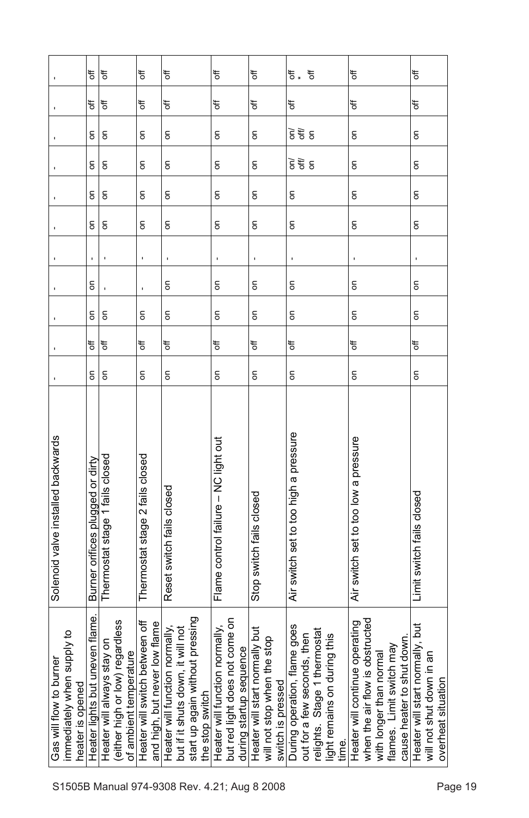|                                                                           | t<br>đ<br>g                      | t<br>₹<br>$\epsilon$                                                                         | ₹<br>₩<br>$\overline{5}$                                        | t<br>₹<br>$\overline{5}$                                                                                                        | ₹<br>đ<br>$\overline{\bf{5}}$                                                                            | to<br>đ<br>δ                                                                          | ð<br>₩.<br>đ<br>डे हैं है                                                                                                                | ₹<br>đ<br>$\overline{5}$                                                                                                                               | đ<br>₹<br>δ                                                                       |
|---------------------------------------------------------------------------|----------------------------------|----------------------------------------------------------------------------------------------|-----------------------------------------------------------------|---------------------------------------------------------------------------------------------------------------------------------|----------------------------------------------------------------------------------------------------------|---------------------------------------------------------------------------------------|------------------------------------------------------------------------------------------------------------------------------------------|--------------------------------------------------------------------------------------------------------------------------------------------------------|-----------------------------------------------------------------------------------|
|                                                                           | g<br>g                           | $\epsilon$<br>$\epsilon$                                                                     | $\overline{5}$<br>$\overline{5}$                                | δ<br>$\overline{5}$                                                                                                             | δ<br>$\mathsf S$                                                                                         | δ<br>g                                                                                | डे हैं हैं<br>$\overline{5}$                                                                                                             | δ<br>$\overline{5}$                                                                                                                                    | δ<br>$\overline{5}$                                                               |
|                                                                           | δ                                | $\overline{5}$                                                                               | $\overline{5}$                                                  | δ                                                                                                                               | $\overline{\bf{5}}$                                                                                      | δ                                                                                     | $\overline{5}$                                                                                                                           | δ                                                                                                                                                      | δ                                                                                 |
|                                                                           |                                  |                                                                                              | J.                                                              |                                                                                                                                 |                                                                                                          |                                                                                       |                                                                                                                                          |                                                                                                                                                        | ï                                                                                 |
|                                                                           | S                                |                                                                                              |                                                                 | g                                                                                                                               | 6                                                                                                        | δ                                                                                     | 6                                                                                                                                        | δ                                                                                                                                                      | g                                                                                 |
|                                                                           | $\overline{5}$                   | $\mathsf{S}$                                                                                 | δ                                                               | δ                                                                                                                               | $\mathsf{S}$                                                                                             | δ                                                                                     | δ                                                                                                                                        | $\overline{5}$                                                                                                                                         | δ                                                                                 |
|                                                                           | đ                                | ₹                                                                                            | ₹                                                               | ₹                                                                                                                               | ₹                                                                                                        | đ                                                                                     | ₹                                                                                                                                        | ₹                                                                                                                                                      | ₹                                                                                 |
|                                                                           | $\overline{5}$                   | δ                                                                                            | $\overline{5}$                                                  | δ                                                                                                                               | $\overline{5}$                                                                                           | δ                                                                                     | δ                                                                                                                                        | δ                                                                                                                                                      | δ                                                                                 |
| Solenoid valve installed backwards                                        | Burner orifices plugged or dirty | Thermostat stage 1 fails closed                                                              | Thermostat stage 2 fails closed                                 | Reset switch fails closed                                                                                                       | Flame control failure - NC light out                                                                     | Stop switch fails closed                                                              | Air switch set to too high a pressure                                                                                                    | Air switch set to too low a pressure                                                                                                                   | Limit switch fails closed                                                         |
| immediately when supply to<br>Gas will flow to burner<br>heater is opened | Heater lights but uneven flame.  | (either high or low) regardless<br>y on<br>of ambient temperature<br>Heater will always stay | Heater will switch between off<br>and high, but never low flame | pressing<br>Heater will function normally,<br>will not<br>but if it shuts down, it<br>start up again without<br>the stop switch | come on<br>Heater will function normally,<br><b>ლ</b><br>during startup sequen<br>but red light does not | Heater will start normally but<br>stop<br>will not stop when the<br>switch is pressed | During operation, flame goes<br>out for a few seconds, then<br>mostat<br>light remains on during this<br>relights. Stage 1 then<br>time. | when the air flow is obstructed<br>with longer than normal<br>Heater will continue operating<br>cause heater to shut down.<br>flames. Limit switch may | Heater will start normally, but<br>will not shut down in an<br>overheat situation |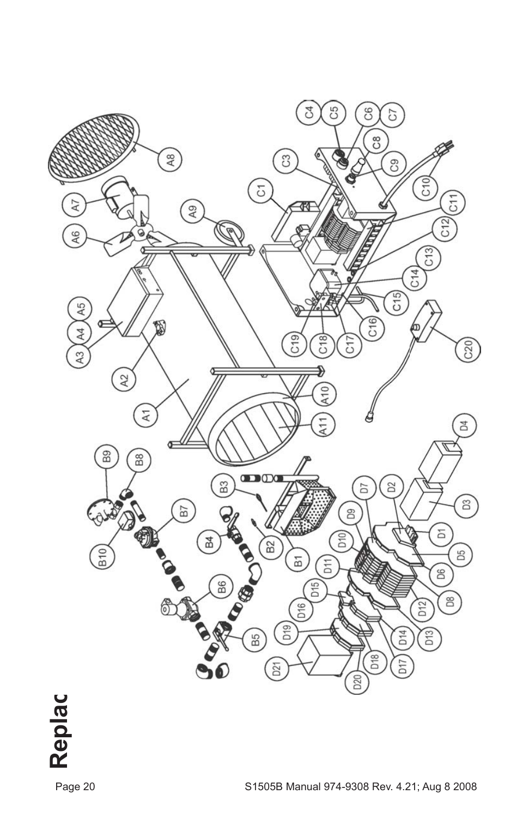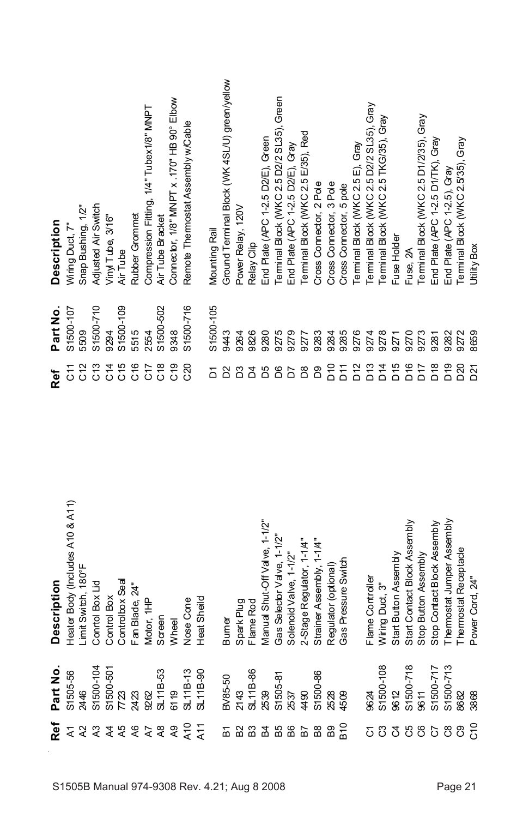| S1505B Manual 974-9308 Rev. 4.21; Aug 8 2008 | Frastattatta Emmanum mundu ossussus | ş<br>$\frac{1}{2}$<br>$\frac{1}{2}$ $\frac{1}{2}$ $\frac{1}{2}$ $\frac{1}{2}$ $\frac{1}{2}$ $\frac{1}{2}$ $\frac{1}{2}$ $\frac{1}{2}$ $\frac{1}{2}$ $\frac{1}{2}$ $\frac{1}{2}$ $\frac{1}{2}$ $\frac{1}{2}$ $\frac{1}{2}$ $\frac{1}{2}$ $\frac{1}{2}$ $\frac{1}{2}$ $\frac{1}{2}$ $\frac{1}{2}$ $\frac{1}{2}$ $\frac{1}{2}$ | Description                      | Ref                                      | Part No.   | <b>Description</b>                           |
|----------------------------------------------|-------------------------------------|-----------------------------------------------------------------------------------------------------------------------------------------------------------------------------------------------------------------------------------------------------------------------------------------------------------------------------|----------------------------------|------------------------------------------|------------|----------------------------------------------|
|                                              |                                     | န္                                                                                                                                                                                                                                                                                                                          | Heater Body (Includes A10 & A11) | 55                                       | S1500-107  | Wiring Duct, 7"                              |
|                                              |                                     |                                                                                                                                                                                                                                                                                                                             | Limit Switch, 180°F              | C12                                      | 5509       | Snap Bushing, 1/2"                           |
|                                              |                                     | $-104$                                                                                                                                                                                                                                                                                                                      | Control Box Lid                  | C13                                      | S1500-710  | Adjusted Air Switch                          |
|                                              |                                     | 501                                                                                                                                                                                                                                                                                                                         | Control Box                      | C14                                      | 9294       | Viny Tube, 3/16"                             |
|                                              |                                     |                                                                                                                                                                                                                                                                                                                             | Controlbox Seal                  | C15                                      | S1500-109  | Air Tube                                     |
|                                              |                                     |                                                                                                                                                                                                                                                                                                                             | Fan Blade, 24"                   | C16                                      | 5515       | Rubber Grommet                               |
|                                              |                                     |                                                                                                                                                                                                                                                                                                                             | Motor, 1HP                       | C <sub>12</sub>                          | 2554       | Compression Fitting, 1/4" Tubex1/8" MNPT     |
|                                              |                                     | ιŞ,                                                                                                                                                                                                                                                                                                                         | Screen                           | C18                                      | \$1500-502 | Air Tube Bracket                             |
|                                              |                                     |                                                                                                                                                                                                                                                                                                                             | Wheel                            | $\frac{9}{2}$                            | 9348       | Connector, 1/8" MNPT x .170" HB 90° Elbow    |
|                                              |                                     | $\frac{3}{2}$                                                                                                                                                                                                                                                                                                               | Nose Cone                        | <b>C20</b>                               | S1500-716  | Remote Thermostat Assembly w/Cable           |
|                                              |                                     | ဓု                                                                                                                                                                                                                                                                                                                          | Heat Sheild                      |                                          |            |                                              |
|                                              |                                     |                                                                                                                                                                                                                                                                                                                             |                                  | Σ                                        | S1500-105  | Mounting Rail                                |
|                                              |                                     | $\tilde{Q}$                                                                                                                                                                                                                                                                                                                 | Burner                           | δ                                        | 9443       | Ground Terminal Block (WK4SL/U) green/yellow |
|                                              |                                     |                                                                                                                                                                                                                                                                                                                             | Spark Plug                       | සි                                       | 9264       | Power Relay, 120V                            |
|                                              |                                     | 86                                                                                                                                                                                                                                                                                                                          | Flame Rod                        | 8 K                                      | 9826       | Relay Clip                                   |
|                                              |                                     |                                                                                                                                                                                                                                                                                                                             | Manual Shut-Off Valve, 1-1/2"    |                                          | 9280       | End Plate (APC 1-2.5 D2/E), Green            |
|                                              |                                     | နှ                                                                                                                                                                                                                                                                                                                          | Gas Selector Valve, 1-1/2"       | රි                                       | 9275       | Terminal Block (WKC 2.5 D2/2 SL35), Green    |
|                                              |                                     |                                                                                                                                                                                                                                                                                                                             | Solenoid Valve, 1-1/2"           | <b>PD</b>                                | 9279       | End Plate (APC 1-2.5 D2/E), Gray             |
|                                              |                                     |                                                                                                                                                                                                                                                                                                                             | 2-Stage Regulator, 1-1/4"        | $_{\rm \stackrel{8}{\scriptstyle \sim}}$ | 9277       | Ferminal Block (WKC 2.5 E/35), Red           |
|                                              |                                     | 86                                                                                                                                                                                                                                                                                                                          | Strainer Assembly, 1-14"         | 8q                                       | 9283       | Cross Comector, 2 Pole                       |
|                                              |                                     |                                                                                                                                                                                                                                                                                                                             | Regulator (optional              | $\frac{1}{2}$                            | 9284       | Cross Comector, 3 Pole                       |
|                                              |                                     |                                                                                                                                                                                                                                                                                                                             | Gas Pressure Switch              | <b>PTO</b>                               | 9285       | Cross Connector, 5 pole                      |
|                                              |                                     |                                                                                                                                                                                                                                                                                                                             |                                  | D <sub>12</sub>                          | 9276       | erminal Block (WKC 2.5 E), Gray              |
|                                              |                                     |                                                                                                                                                                                                                                                                                                                             | Flame Controller                 | D <sub>13</sub>                          | 9274       | Terminal Block (WKC 2.5 D2/2 SL35), Gray     |
|                                              |                                     | 108                                                                                                                                                                                                                                                                                                                         | Wiring Duct, 3"                  | D14                                      | 9278       | Terminal Block (WKC 2.5 TKG/35), Gray        |
|                                              |                                     |                                                                                                                                                                                                                                                                                                                             | Start Button Assembly            | D <sub>15</sub>                          | 9271       | Fuse Holder                                  |
|                                              |                                     | 718                                                                                                                                                                                                                                                                                                                         | Start Contact Block Assembly     | D <sub>16</sub>                          | 9270       | Fuse, 2A                                     |
|                                              |                                     |                                                                                                                                                                                                                                                                                                                             | Stop Button Assembly             | D <sub>17</sub>                          | 9273       | Terminal Block (WKC 2.5 D1/2/35), Gray       |
|                                              |                                     | 717                                                                                                                                                                                                                                                                                                                         | Stop Contact Block Assembly      | D18                                      | 9281       | End Plate (APC 1-2.5 D1/TK), Gray            |
|                                              |                                     | $-713$                                                                                                                                                                                                                                                                                                                      | Themostat Jumper Assembly        | D19                                      | 9282       | End Plate (APC 1-2.5), Gray                  |
| Page 21                                      |                                     |                                                                                                                                                                                                                                                                                                                             | Themostat Receptacle             | D <sub>20</sub>                          | 9272       | Terminal Block (WKC 2.5/35), Gray            |
|                                              |                                     |                                                                                                                                                                                                                                                                                                                             | Power Cord, 24"                  | D <sub>21</sub>                          | 8659       | Utility Box                                  |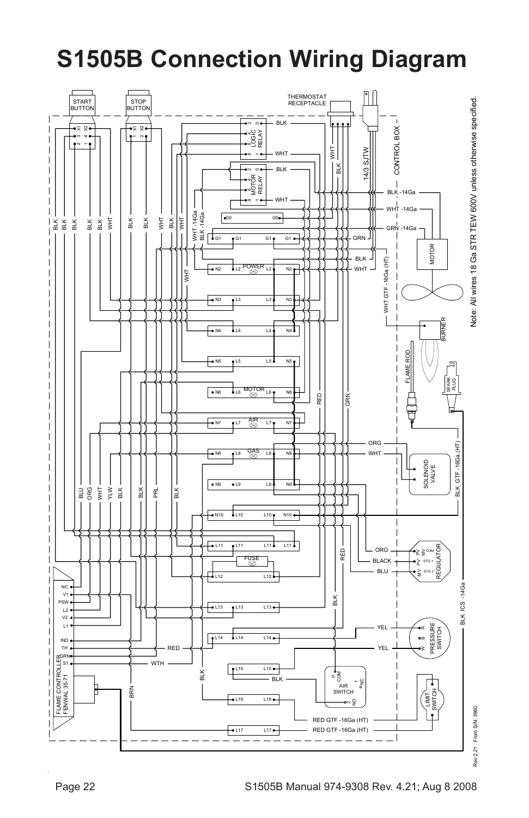#### **S1505B Connection Wiring Diagram**

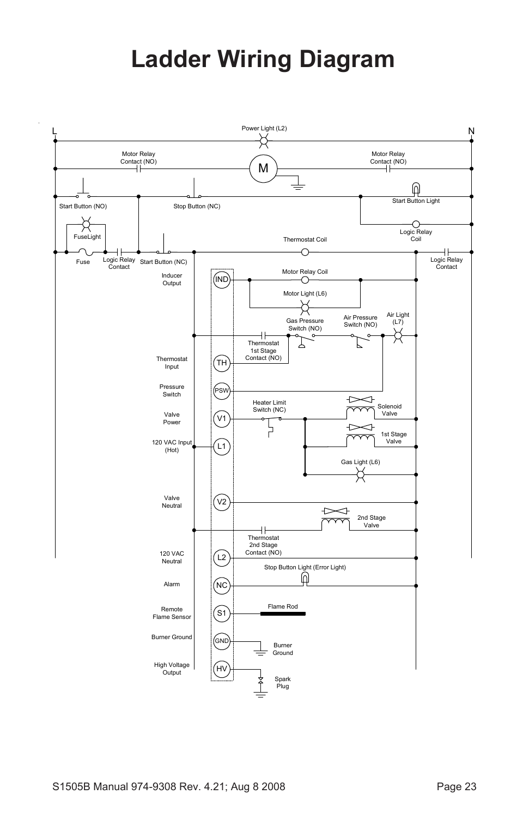## **Ladder Wiring Diagram**

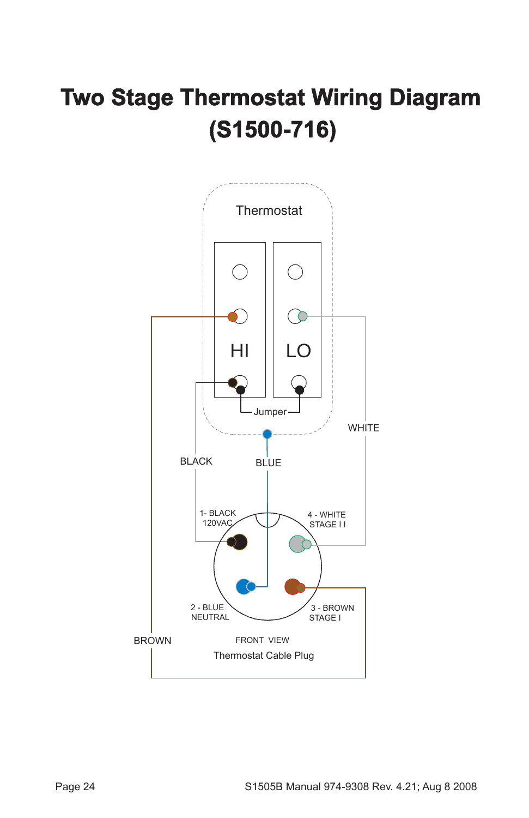## **Two Stage Thermostat Wiring Diagram (S1500-716)**

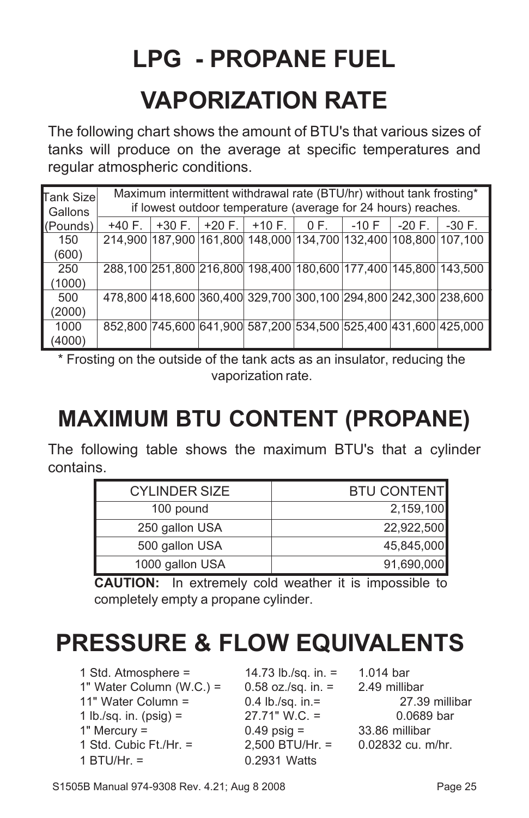# **LPG - PROPANE FUEL VAPORIZATION RATE**

The following chart shows the amount of BTU's that various sizes of tanks will produce on the average at specific temperatures and regular atmospheric conditions.

| Tank Sizel<br><b>Gallons</b> |          |          |          | Maximum intermittent withdrawal rate (BTU/hr) without tank frosting*<br>if lowest outdoor temperature (average for 24 hours) reaches. |                       |         |           |          |
|------------------------------|----------|----------|----------|---------------------------------------------------------------------------------------------------------------------------------------|-----------------------|---------|-----------|----------|
| (Pounds)                     | $+40 F.$ | $+30 F.$ | $+20 F.$ |                                                                                                                                       | $+10$ F. $\vert$ 0 F. | $-10$ F | $-20 F$ . | $-30 F.$ |
| 150                          |          |          |          | 214,900 187,900 161,800 148,000 134,700 132,400 108,800 107,100                                                                       |                       |         |           |          |
| (600)                        |          |          |          |                                                                                                                                       |                       |         |           |          |
| 250                          |          |          |          | 288,100 251,800 216,800 198,400 180,600 177,400 145,800 143,500                                                                       |                       |         |           |          |
| (1000)                       |          |          |          |                                                                                                                                       |                       |         |           |          |
| 500                          |          |          |          | 478,800 418,600 360,400 329,700 300,100 294,800 242,300 238,600                                                                       |                       |         |           |          |
| (2000)                       |          |          |          |                                                                                                                                       |                       |         |           |          |
| 1000                         |          |          |          | 852,800 745,600 641,900 587,200 534,500 525,400 431,600 425,000                                                                       |                       |         |           |          |
| (4000)                       |          |          |          |                                                                                                                                       |                       |         |           |          |

\* Frosting on the outside of the tank acts as an insulator, reducing the vaporization rate.

#### **MAXIMUM BTU CONTENT (PROPANE)**

The following table shows the maximum BTU's that a cylinder contains.

| <b>CYLINDER SIZE</b> | <b>BTU CONTENT</b> |
|----------------------|--------------------|
| 100 pound            | 2,159,100          |
| 250 gallon USA       | 22,922,500         |
| 500 gallon USA       | 45,845,000         |
| 1000 gallon USA      | 91,690,000         |

**CAUTION:** In extremely cold weather it is impossible to completely empty a propane cylinder.

## **PRESSURE & FLOW EQUIVALENTS**

1 Std. Atmosphere = 14.73 lb./sq. in. = 1.014 bar 1" Water Column (W.C.) =  $0.58$  oz./sq. in. =  $2.49$  millibar 11" Water Column = 0.4 lb./sq. in.= 27.39 millibar 1 lb./sq. in. (psig) = 27.71" W.C. = 0.0689 bar 1" Mercury =  $1 + 33.86$  millibar<br>
1 Std. Cubic Ft./Hr. =  $2.500$  BTU/Hr. =  $0.02832$  cu. m 1 BTU/Hr. = 0.2931 Watts

 $2,500$  BTU/Hr. =  $0.02832$  cu. m/hr.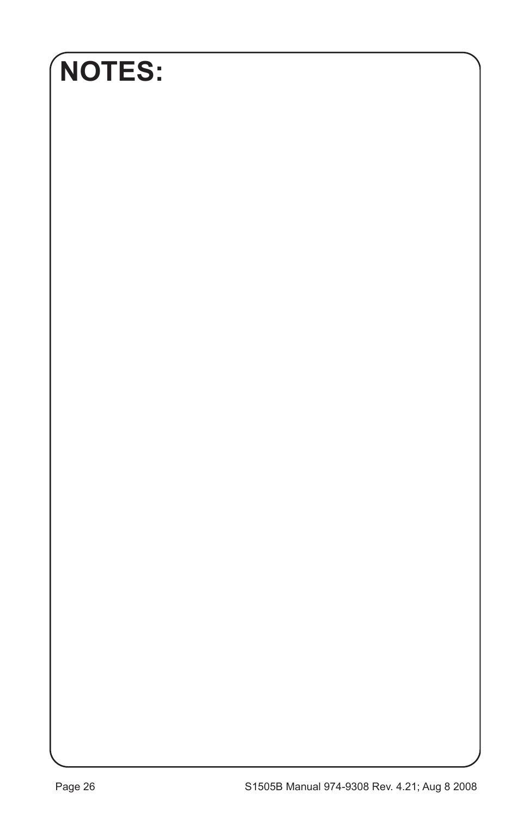## **NOTES:**